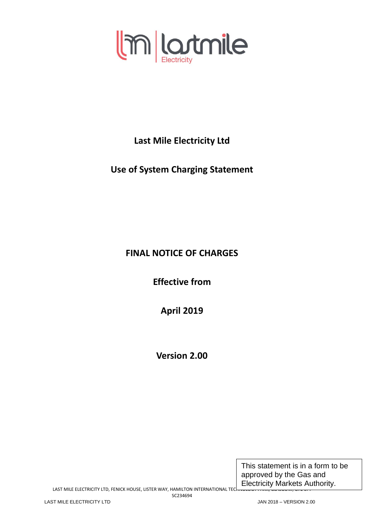

**Last Mile Electricity Ltd**

**Use of System Charging Statement**

# **FINAL NOTICE OF CHARGES**

**Effective from** 

**April 2019**

**Version 2.00**

This statement is in a form to be approved by the Gas and Electricity Markets Authority.

LAST MILE ELECTRICITY LTD, FENICK HOUSE, LISTER WAY, HAMILTON INTERNATIONAL TECHNOLOGY PARK, GLASGOW, G72 0FT SC234694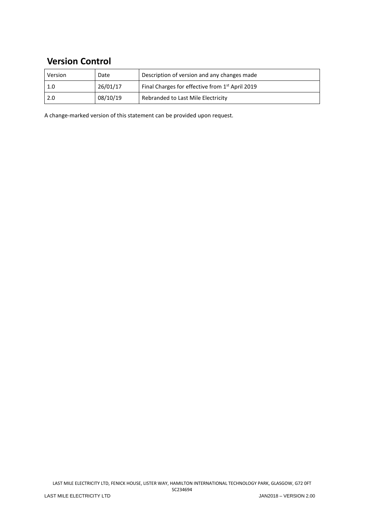# **Version Control**

| Version | Date     | Description of version and any changes made                 |
|---------|----------|-------------------------------------------------------------|
| 1.0     | 26/01/17 | Final Charges for effective from 1 <sup>st</sup> April 2019 |
| 2.0     | 08/10/19 | Rebranded to Last Mile Electricity                          |

A change-marked version of this statement can be provided upon request.

LAST MILE ELECTRICITY LTD, FENICK HOUSE, LISTER WAY, HAMILTON INTERNATIONAL TECHNOLOGY PARK, GLASGOW, G72 0FT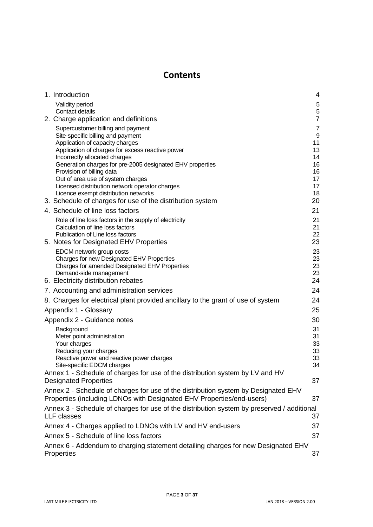# **Contents**

<span id="page-2-0"></span>

| 1. Introduction                                                                                                                                             | 4                   |
|-------------------------------------------------------------------------------------------------------------------------------------------------------------|---------------------|
| Validity period                                                                                                                                             | 5                   |
| Contact details                                                                                                                                             | $\mathbf 5$         |
| 2. Charge application and definitions                                                                                                                       | $\overline{7}$      |
| Supercustomer billing and payment<br>Site-specific billing and payment                                                                                      | $\overline{7}$<br>9 |
| Application of capacity charges                                                                                                                             | 11                  |
| Application of charges for excess reactive power                                                                                                            | 13                  |
| Incorrectly allocated charges                                                                                                                               | 14                  |
| Generation charges for pre-2005 designated EHV properties<br>Provision of billing data                                                                      | 16<br>16            |
| Out of area use of system charges                                                                                                                           | 17                  |
| Licensed distribution network operator charges                                                                                                              | 17                  |
| Licence exempt distribution networks<br>3. Schedule of charges for use of the distribution system                                                           | 18<br>20            |
| 4. Schedule of line loss factors                                                                                                                            | 21                  |
|                                                                                                                                                             | 21                  |
| Role of line loss factors in the supply of electricity<br>Calculation of line loss factors                                                                  | 21                  |
| Publication of Line loss factors                                                                                                                            | 22                  |
| 5. Notes for Designated EHV Properties                                                                                                                      | 23                  |
| EDCM network group costs                                                                                                                                    | 23                  |
| Charges for new Designated EHV Properties<br>Charges for amended Designated EHV Properties                                                                  | 23<br>23            |
| Demand-side management                                                                                                                                      | 23                  |
| 6. Electricity distribution rebates                                                                                                                         | 24                  |
| 7. Accounting and administration services                                                                                                                   | 24                  |
| 8. Charges for electrical plant provided ancillary to the grant of use of system                                                                            | 24                  |
| Appendix 1 - Glossary                                                                                                                                       | 25                  |
| Appendix 2 - Guidance notes                                                                                                                                 | 30                  |
| Background                                                                                                                                                  | 31                  |
| Meter point administration                                                                                                                                  | 31                  |
| Your charges<br>Reducing your charges                                                                                                                       | 33<br>33            |
| Reactive power and reactive power charges                                                                                                                   | 33                  |
| Site-specific EDCM charges                                                                                                                                  | 34                  |
| Annex 1 - Schedule of charges for use of the distribution system by LV and HV                                                                               |                     |
| <b>Designated Properties</b>                                                                                                                                | 37                  |
| Annex 2 - Schedule of charges for use of the distribution system by Designated EHV<br>Properties (including LDNOs with Designated EHV Properties/end-users) | 37                  |
| Annex 3 - Schedule of charges for use of the distribution system by preserved / additional                                                                  |                     |
| <b>LLF</b> classes                                                                                                                                          | 37                  |
| Annex 4 - Charges applied to LDNOs with LV and HV end-users                                                                                                 | 37                  |
| Annex 5 - Schedule of line loss factors                                                                                                                     | 37                  |
| Annex 6 - Addendum to charging statement detailing charges for new Designated EHV                                                                           |                     |
| Properties                                                                                                                                                  | 37                  |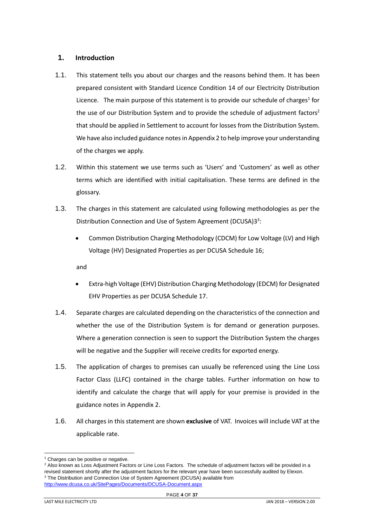# <span id="page-3-0"></span>**1. Introduction**

- 1.1. This statement tells you about our charges and the reasons behind them. It has been prepared consistent with Standard Licence Condition 14 of our Electricity Distribution Licence. The main purpose of this statement is to provide our schedule of charges<sup>1</sup> for the use of our Distribution System and to provide the schedule of adjustment factors<sup>2</sup> that should be applied in Settlement to account for losses from the Distribution System. We have also included guidance notesin Appendix 2 to help improve your understanding of the charges we apply.
- 1.2. Within this statement we use terms such as 'Users' and 'Customers' as well as other terms which are identified with initial capitalisation. These terms are defined in the glossary.
- 1.3. The charges in this statement are calculated using following methodologies as per the Distribution Connection and Use of System Agreement (DCUSA)33:
	- Common Distribution Charging Methodology (CDCM) for Low Voltage (LV) and High Voltage (HV) Designated Properties as per DCUSA Schedule 16;

and

- Extra-high Voltage (EHV) Distribution Charging Methodology (EDCM) for Designated EHV Properties as per DCUSA Schedule 17.
- 1.4. Separate charges are calculated depending on the characteristics of the connection and whether the use of the Distribution System is for demand or generation purposes. Where a generation connection is seen to support the Distribution System the charges will be negative and the Supplier will receive credits for exported energy.
- 1.5. The application of charges to premises can usually be referenced using the Line Loss Factor Class (LLFC) contained in the charge tables. Further information on how to identify and calculate the charge that will apply for your premise is provided in the guidance notes in Appendix 2.
- 1.6. All charges in this statement are shown **exclusive** of VAT. Invoices will include VAT at the applicable rate.

<sup>&</sup>lt;sup>1</sup> Charges can be positive or negative.

<sup>&</sup>lt;sup>2</sup> Also known as Loss Adjustment Factors or Line Loss Factors. The schedule of adjustment factors will be provided in a revised statement shortly after the adjustment factors for the relevant year have been successfully audited by Elexon. <sup>3</sup> The Distribution and Connection Use of System Agreement (DCUSA) available from

<http://www.dcusa.co.uk/SitePages/Documents/DCUSA-Document.aspx>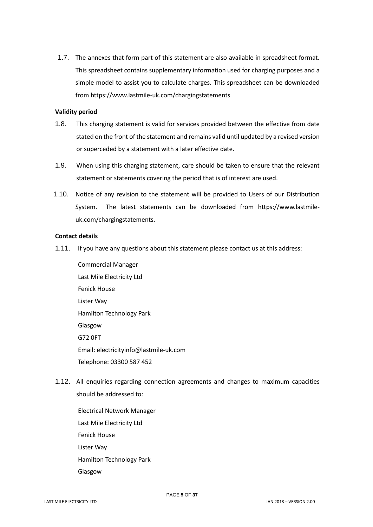1.7. The annexes that form part of this statement are also available in spreadsheet format. This spreadsheet contains supplementary information used for charging purposes and a simple model to assist you to calculate charges. This spreadsheet can be downloaded from https://www.lastmile-uk.com/chargingstatements

## <span id="page-4-0"></span>**Validity period**

- 1.8. This charging statement is valid for services provided between the effective from date stated on the front of the statement and remains valid until updated by a revised version or superceded by a statement with a later effective date.
- 1.9. When using this charging statement, care should be taken to ensure that the relevant statement or statements covering the period that is of interest are used.
- 1.10. Notice of any revision to the statement will be provided to Users of our Distribution System. The latest statements can be downloaded from https://www.lastmileuk.com/chargingstatements.

# <span id="page-4-1"></span>**Contact details**

1.11. If you have any questions about this statement please contact us at this address:

Commercial Manager Last Mile Electricity Ltd Fenick House Lister Way Hamilton Technology Park Glasgow G72 0FT Email: electricityinfo@lastmile-uk.com Telephone: 03300 587 452

- <span id="page-4-2"></span>1.12. All enquiries regarding connection agreements and changes to maximum capacities should be addressed to:
	- Electrical Network Manager Last Mile Electricity Ltd Fenick House Lister Way Hamilton Technology Park Glasgow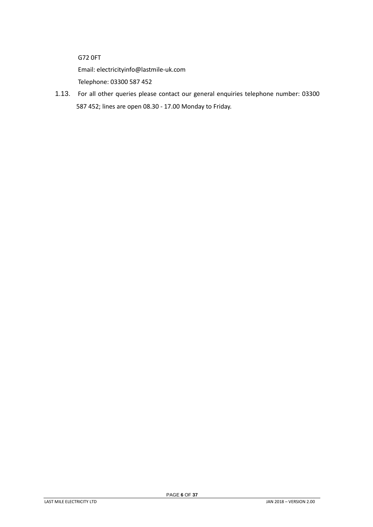G72 0FT

Email: electricityinfo@lastmile-uk.com

Telephone: 03300 587 452

1.13. For all other queries please contact our general enquiries telephone number: 03300 587 452; lines are open 08.30 - 17.00 Monday to Friday.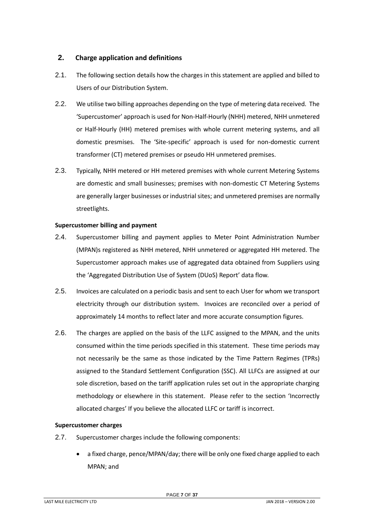# <span id="page-6-0"></span>**2. Charge application and definitions**

- 2.1. The following section details how the charges in this statement are applied and billed to Users of our Distribution System.
- 2.2. We utilise two billing approaches depending on the type of metering data received. The 'Supercustomer' approach is used for Non-Half-Hourly (NHH) metered, NHH unmetered or Half-Hourly (HH) metered premises with whole current metering systems, and all domestic presmises. The 'Site-specific' approach is used for non-domestic current transformer (CT) metered premises or pseudo HH unmetered premises.
- 2.3. Typically, NHH metered or HH metered premises with whole current Metering Systems are domestic and small businesses; premises with non-domestic CT Metering Systems are generally larger businesses or industrial sites; and unmetered premises are normally streetlights.

# <span id="page-6-1"></span>**Supercustomer billing and payment**

- 2.4. Supercustomer billing and payment applies to Meter Point Administration Number (MPAN)s registered as NHH metered, NHH unmetered or aggregated HH metered. The Supercustomer approach makes use of aggregated data obtained from Suppliers using the 'Aggregated Distribution Use of System (DUoS) Report' data flow.
- 2.5. Invoices are calculated on a periodic basis and sent to each User for whom we transport electricity through our distribution system. Invoices are reconciled over a period of approximately 14 months to reflect later and more accurate consumption figures.
- 2.6. The charges are applied on the basis of the LLFC assigned to the MPAN, and the units consumed within the time periods specified in this statement. These time periods may not necessarily be the same as those indicated by the Time Pattern Regimes (TPRs) assigned to the Standard Settlement Configuration (SSC). All LLFCs are assigned at our sole discretion, based on the tariff application rules set out in the appropriate charging methodology or elsewhere in this statement. Please refer to the section 'Incorrectly allocated charges' If you believe the allocated LLFC or tariff is incorrect.

# **Supercustomer charges**

- 2.7. Supercustomer charges include the following components:
	- a fixed charge, pence/MPAN/day; there will be only one fixed charge applied to each MPAN; and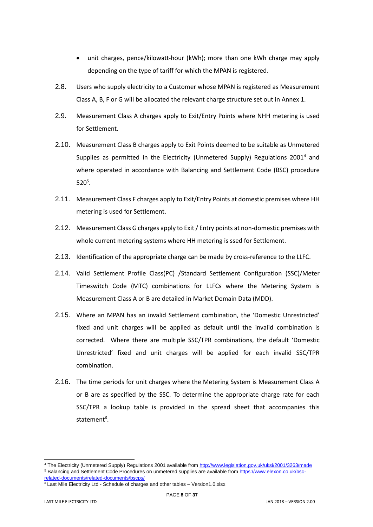- unit charges, pence/kilowatt-hour (kWh); more than one kWh charge may apply depending on the type of tariff for which the MPAN is registered.
- 2.8. Users who supply electricity to a Customer whose MPAN is registered as Measurement Class A, B, F or G will be allocated the relevant charge structure set out in Annex 1.
- 2.9. Measurement Class A charges apply to Exit/Entry Points where NHH metering is used for Settlement.
- 2.10. Measurement Class B charges apply to Exit Points deemed to be suitable as Unmetered Supplies as permitted in the Electricity (Unmetered Supply) Regulations  $2001<sup>4</sup>$  and where operated in accordance with Balancing and Settlement Code (BSC) procedure  $520^5$ .
- 2.11. Measurement Class F charges apply to Exit/Entry Points at domestic premises where HH metering is used for Settlement.
- 2.12. Measurement Class G charges apply to Exit / Entry points at non-domestic premises with whole current metering systems where HH metering is ssed for Settlement.
- 2.13. Identification of the appropriate charge can be made by cross-reference to the LLFC.
- 2.14. Valid Settlement Profile Class(PC) /Standard Settlement Configuration (SSC)/Meter Timeswitch Code (MTC) combinations for LLFCs where the Metering System is Measurement Class A or B are detailed in Market Domain Data (MDD).
- 2.15. Where an MPAN has an invalid Settlement combination, the 'Domestic Unrestricted' fixed and unit charges will be applied as default until the invalid combination is corrected. Where there are multiple SSC/TPR combinations, the default 'Domestic Unrestricted' fixed and unit charges will be applied for each invalid SSC/TPR combination.
- 2.16. The time periods for unit charges where the Metering System is Measurement Class A or B are as specified by the SSC. To determine the appropriate charge rate for each SSC/TPR a lookup table is provided in the spread sheet that accompanies this statement<sup>6</sup>.

<sup>4</sup> The Electricity (Unmetered Supply) Regulations 2001 available fro[m http://www.legislation.gov.uk/uksi/2001/3263/made](http://www.legislation.gov.uk/uksi/2001/3263/made) <sup>5</sup> Balancing and Settlement Code Procedures on unmetered supplies are available fro[m https://www.elexon.co.uk/bsc](https://www.elexon.co.uk/bsc-related-documents/related-documents/bscps/)[related-documents/related-documents/bscps/](https://www.elexon.co.uk/bsc-related-documents/related-documents/bscps/)

<sup>6</sup> Last Mile Electricity Ltd - Schedule of charges and other tables – Version1.0.xlsx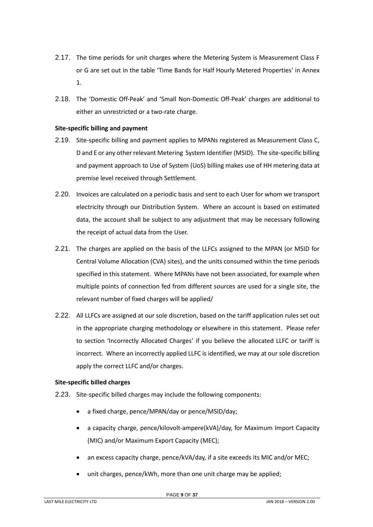- 2.17. The time periods for unit charges where the Metering System is Measurement Class F or G are set out in the table 'Time Bands for Half Hourly Metered Properties' in Annex 1.
- 2.18. The 'Domestic Off-Peak' and 'Small Non-Domestic Off-Peak' charges are additional to either an unrestricted or a two-rate charge.

# <span id="page-8-0"></span>**Site-specific billing and payment**

- 2.19. Site-specific billing and payment applies to MPANs registered as Measurement Class C, D and E or any other relevant Metering System Identifier (MSID). The site-specific billing and payment approach to Use of System (UoS) billing makes use of HH metering data at premise level received through Settlement.
- 2.20. Invoices are calculated on a periodic basis and sent to each User for whom we transport electricity through our Distribution System. Where an account is based on estimated data, the account shall be subject to any adjustment that may be necessary following the receipt of actual data from the User.
- 2.21. The charges are applied on the basis of the LLFCs assigned to the MPAN (or MSID for Central Volume Allocation (CVA) sites), and the units consumed within the time periods specified in this statement. Where MPANs have not been associated, for example when multiple points of connection fed from different sources are used for a single site, the relevant number of fixed charges will be applied/
- 2.22. All LLFCs are assigned at our sole discretion, based on the tariff application rules set out in the appropriate charging methodology or elsewhere in this statement. Please refer to section 'Incorrectly Allocated Charges' if you believe the allocated LLFC or tariff is incorrect. Where an incorrectly applied LLFC is identified, we may at our sole discretion apply the correct LLFC and/or charges.

## **Site-specific billed charges**

- 2.23. Site-specific billed charges may include the following components:
	- a fixed charge, pence/MPAN/day or pence/MSID/day;
	- a capacity charge, pence/kilovolt-ampere(kVA)/day, for Maximum Import Capacity (MIC) and/or Maximum Export Capacity (MEC);
	- an excess capacity charge, pence/kVA/day, if a site exceeds its MIC and/or MEC;
	- unit charges, pence/kWh, more than one unit charge may be applied;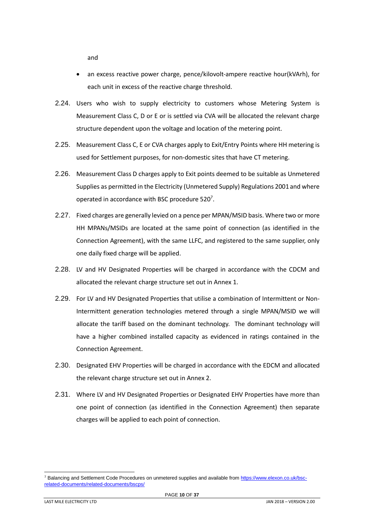and

- an excess reactive power charge, pence/kilovolt-ampere reactive hour(kVArh), for each unit in excess of the reactive charge threshold.
- 2.24. Users who wish to supply electricity to customers whose Metering System is Measurement Class C, D or E or is settled via CVA will be allocated the relevant charge structure dependent upon the voltage and location of the metering point.
- 2.25. Measurement Class C, E or CVA charges apply to Exit/Entry Points where HH metering is used for Settlement purposes, for non-domestic sites that have CT metering.
- 2.26. Measurement Class D charges apply to Exit points deemed to be suitable as Unmetered Supplies as permitted in the Electricity (Unmetered Supply) Regulations 2001 and where operated in accordance with BSC procedure  $520<sup>7</sup>$ .
- 2.27. Fixed charges are generally levied on a pence per MPAN/MSID basis. Where two or more HH MPANs/MSIDs are located at the same point of connection (as identified in the Connection Agreement), with the same LLFC, and registered to the same supplier, only one daily fixed charge will be applied.
- 2.28. LV and HV Designated Properties will be charged in accordance with the CDCM and allocated the relevant charge structure set out in Annex 1.
- 2.29. For LV and HV Designated Properties that utilise a combination of Intermittent or Non-Intermittent generation technologies metered through a single MPAN/MSID we will allocate the tariff based on the dominant technology. The dominant technology will have a higher combined installed capacity as evidenced in ratings contained in the Connection Agreement.
- 2.30. Designated EHV Properties will be charged in accordance with the EDCM and allocated the relevant charge structure set out in Annex 2.
- 2.31. Where LV and HV Designated Properties or Designated EHV Properties have more than one point of connection (as identified in the Connection Agreement) then separate charges will be applied to each point of connection.

<sup>&</sup>lt;sup>7</sup> Balancing and Settlement Code Procedures on unmetered supplies and available fro[m https://www.elexon.co.uk/bsc](https://www.elexon.co.uk/bsc-related-documents/related-documents/bscps/)[related-documents/related-documents/bscps/](https://www.elexon.co.uk/bsc-related-documents/related-documents/bscps/)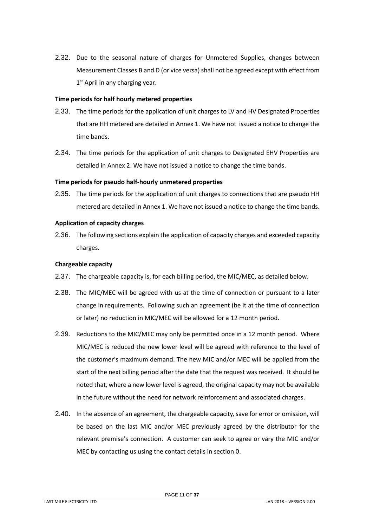2.32. Due to the seasonal nature of charges for Unmetered Supplies, changes between Measurement Classes B and D (or vice versa) shall not be agreed except with effect from 1<sup>st</sup> April in any charging year.

#### **Time periods for half hourly metered properties**

- 2.33. The time periods for the application of unit charges to LV and HV Designated Properties that are HH metered are detailed in Annex 1. We have not issued a notice to change the time bands.
- 2.34. The time periods for the application of unit charges to Designated EHV Properties are detailed in Annex 2. We have not issued a notice to change the time bands.

#### **Time periods for pseudo half-hourly unmetered properties**

2.35. The time periods for the application of unit charges to connections that are pseudo HH metered are detailed in Annex 1. We have not issued a notice to change the time bands.

#### <span id="page-10-0"></span>**Application of capacity charges**

2.36. The following sections explain the application of capacity charges and exceeded capacity charges.

#### **Chargeable capacity**

- 2.37. The chargeable capacity is, for each billing period, the MIC/MEC, as detailed below.
- 2.38. The MIC/MEC will be agreed with us at the time of connection or pursuant to a later change in requirements. Following such an agreement (be it at the time of connection or later) no reduction in MIC/MEC will be allowed for a 12 month period.
- 2.39. Reductions to the MIC/MEC may only be permitted once in a 12 month period. Where MIC/MEC is reduced the new lower level will be agreed with reference to the level of the customer's maximum demand. The new MIC and/or MEC will be applied from the start of the next billing period after the date that the request was received. It should be noted that, where a new lower level is agreed, the original capacity may not be available in the future without the need for network reinforcement and associated charges.
- 2.40. In the absence of an agreement, the chargeable capacity, save for error or omission, will be based on the last MIC and/or MEC previously agreed by the distributor for the relevant premise's connection. A customer can seek to agree or vary the MIC and/or MEC by contacting us using the contact details in section [0.](#page-2-0)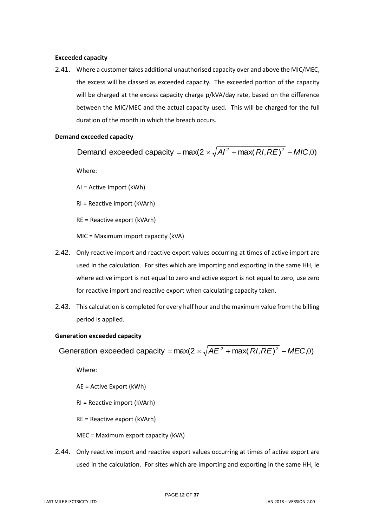## **Exceeded capacity**

2.41. Where a customer takes additional unauthorised capacity over and above the MIC/MEC, the excess will be classed as exceeded capacity. The exceeded portion of the capacity will be charged at the excess capacity charge p/kVA/day rate, based on the difference between the MIC/MEC and the actual capacity used. This will be charged for the full duration of the month in which the breach occurs.

# **Demand exceeded capacity**

Demand exceeded capacity =  $max(2 \times \sqrt{A}I^2 + max(RI, RE)^2 - MIC, 0)$ 

Where:

AI = Active Import (kWh)

RI = Reactive import (kVArh)

RE = Reactive export (kVArh)

MIC = Maximum import capacity (kVA)

- 2.42. Only reactive import and reactive export values occurring at times of active import are used in the calculation. For sites which are importing and exporting in the same HH, ie where active import is not equal to zero and active export is not equal to zero, use zero for reactive import and reactive export when calculating capacity taken.
- 2.43. This calculation is completed for every half hour and the maximum value from the billing period is applied.

## **Generation exceeded capacity**

Generation exceeded capacity =  $max(2 \times \sqrt{AE^2 + max(RI, RE)^2 - MEC,0})$ 

Where:

AE = Active Export (kWh)

RI = Reactive import (kVArh)

RE = Reactive export (kVArh)

MEC = Maximum export capacity (kVA)

2.44. Only reactive import and reactive export values occurring at times of active export are used in the calculation. For sites which are importing and exporting in the same HH, ie

LAST MILE ELECTRICITY LTD JAN 2018 – VERSION 2.00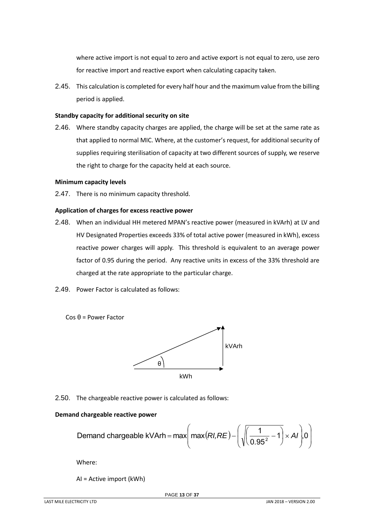where active import is not equal to zero and active export is not equal to zero, use zero for reactive import and reactive export when calculating capacity taken.

2.45. This calculation is completed for every half hour and the maximum value from the billing period is applied.

#### **Standby capacity for additional security on site**

2.46. Where standby capacity charges are applied, the charge will be set at the same rate as that applied to normal MIC. Where, at the customer's request, for additional security of supplies requiring sterilisation of capacity at two different sources of supply, we reserve the right to charge for the capacity held at each source.

#### **Minimum capacity levels**

2.47. There is no minimum capacity threshold.

#### <span id="page-12-0"></span>**Application of charges for excess reactive power**

- 2.48. When an individual HH metered MPAN's reactive power (measured in kVArh) at LV and HV Designated Properties exceeds 33% of total active power (measured in kWh), excess reactive power charges will apply. This threshold is equivalent to an average power factor of 0.95 during the period. Any reactive units in excess of the 33% threshold are charged at the rate appropriate to the particular charge.
- 2.49. Power Factor is calculated as follows:

Cos θ = Power Factor



2.50. The chargeable reactive power is calculated as follows:

## **Demand chargeable reactive power**

Demand chargeable kVArh = max
$$
\left(\max(RI,RE) - \left(\sqrt{\left(\frac{1}{0.95^2} - 1\right)} \times AI\right), 0\right)
$$

Where:

AI = Active import (kWh)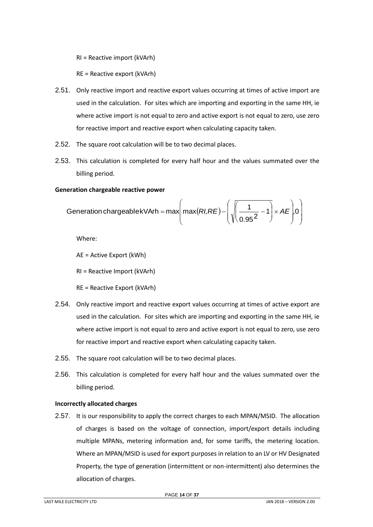RI = Reactive import (kVArh)

RE = Reactive export (kVArh)

- 2.51. Only reactive import and reactive export values occurring at times of active import are used in the calculation. For sites which are importing and exporting in the same HH, ie where active import is not equal to zero and active export is not equal to zero, use zero for reactive import and reactive export when calculating capacity taken.
- 2.52. The square root calculation will be to two decimal places.
- 2.53. This calculation is completed for every half hour and the values summated over the billing period.

## **Generation chargeable reactive power**

$$
Generation chargeablekVArh = max\left(max(RI,RE) - \left(\sqrt{\frac{1}{0.95^2} - 1}\right) \times AE\right)0
$$

Where:

AE = Active Export (kWh)

RI = Reactive Import (kVArh)

RE = Reactive Export (kVArh)

- 2.54. Only reactive import and reactive export values occurring at times of active export are used in the calculation. For sites which are importing and exporting in the same HH, ie where active import is not equal to zero and active export is not equal to zero, use zero for reactive import and reactive export when calculating capacity taken.
- 2.55. The square root calculation will be to two decimal places.
- 2.56. This calculation is completed for every half hour and the values summated over the billing period.

## <span id="page-13-0"></span>**Incorrectly allocated charges**

2.57. It is our responsibility to apply the correct charges to each MPAN/MSID. The allocation of charges is based on the voltage of connection, import/export details including multiple MPANs, metering information and, for some tariffs, the metering location. Where an MPAN/MSID is used for export purposes in relation to an LV or HV Designated Property, the type of generation (intermittent or non-intermittent) also determines the allocation of charges.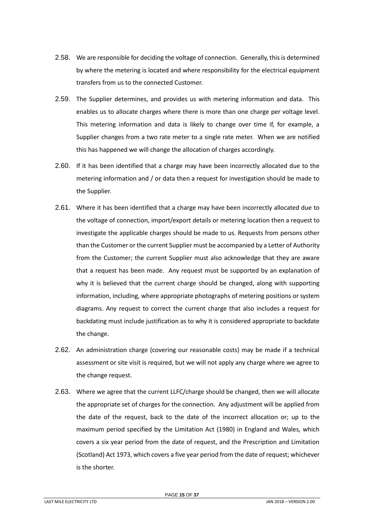- 2.58. We are responsible for deciding the voltage of connection. Generally, this is determined by where the metering is located and where responsibility for the electrical equipment transfers from us to the connected Customer.
- 2.59. The Supplier determines, and provides us with metering information and data. This enables us to allocate charges where there is more than one charge per voltage level. This metering information and data is likely to change over time if, for example, a Supplier changes from a two rate meter to a single rate meter. When we are notified this has happened we will change the allocation of charges accordingly.
- 2.60. If it has been identified that a charge may have been incorrectly allocated due to the metering information and / or data then a request for investigation should be made to the Supplier.
- 2.61. Where it has been identified that a charge may have been incorrectly allocated due to the voltage of connection, import/export details or metering location then a request to investigate the applicable charges should be made to us. Requests from persons other than the Customer or the current Supplier must be accompanied by a Letter of Authority from the Customer; the current Supplier must also acknowledge that they are aware that a request has been made. Any request must be supported by an explanation of why it is believed that the current charge should be changed, along with supporting information, including, where appropriate photographs of metering positions or system diagrams. Any request to correct the current charge that also includes a request for backdating must include justification as to why it is considered appropriate to backdate the change.
- 2.62. An administration charge (covering our reasonable costs) may be made if a technical assessment or site visit is required, but we will not apply any charge where we agree to the change request.
- 2.63. Where we agree that the current LLFC/charge should be changed, then we will allocate the appropriate set of charges for the connection. Any adjustment will be applied from the date of the request, back to the date of the incorrect allocation or; up to the maximum period specified by the Limitation Act (1980) in England and Wales, which covers a six year period from the date of request, and the Prescription and Limitation (Scotland) Act 1973, which covers a five year period from the date of request; whichever is the shorter.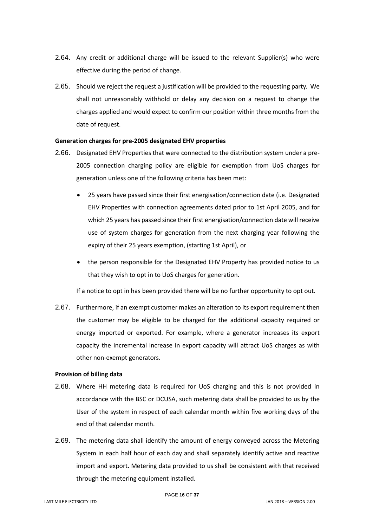- 2.64. Any credit or additional charge will be issued to the relevant Supplier(s) who were effective during the period of change.
- 2.65. Should we reject the request a justification will be provided to the requesting party. We shall not unreasonably withhold or delay any decision on a request to change the charges applied and would expect to confirm our position within three months from the date of request.

## <span id="page-15-0"></span>**Generation charges for pre-2005 designated EHV properties**

- 2.66. Designated EHV Properties that were connected to the distribution system under a pre-2005 connection charging policy are eligible for exemption from UoS charges for generation unless one of the following criteria has been met:
	- 25 years have passed since their first energisation/connection date (i.e. Designated EHV Properties with connection agreements dated prior to 1st April 2005, and for which 25 years has passed since their first energisation/connection date will receive use of system charges for generation from the next charging year following the expiry of their 25 years exemption, (starting 1st April), or
	- the person responsible for the Designated EHV Property has provided notice to us that they wish to opt in to UoS charges for generation.

If a notice to opt in has been provided there will be no further opportunity to opt out.

2.67. Furthermore, if an exempt customer makes an alteration to its export requirement then the customer may be eligible to be charged for the additional capacity required or energy imported or exported. For example, where a generator increases its export capacity the incremental increase in export capacity will attract UoS charges as with other non-exempt generators.

## <span id="page-15-1"></span>**Provision of billing data**

- 2.68. Where HH metering data is required for UoS charging and this is not provided in accordance with the BSC or DCUSA, such metering data shall be provided to us by the User of the system in respect of each calendar month within five working days of the end of that calendar month.
- 2.69. The metering data shall identify the amount of energy conveyed across the Metering System in each half hour of each day and shall separately identify active and reactive import and export. Metering data provided to us shall be consistent with that received through the metering equipment installed.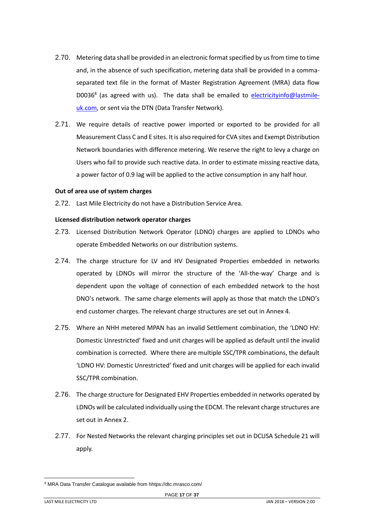- 2.70. Metering data shall be provided in an electronic format specified by us from time to time and, in the absence of such specification, metering data shall be provided in a commaseparated text file in the format of Master Registration Agreement (MRA) data flow D0036<sup>8</sup> (as agreed with us). The data shall be emailed to [electricityinfo@lastmile](mailto:electricityinfo@energetics-uk.com)[uk.com,](mailto:electricityinfo@energetics-uk.com) or sent via the DTN (Data Transfer Network).
- 2.71. We require details of reactive power imported or exported to be provided for all Measurement Class C and E sites. It is also required for CVA sites and Exempt Distribution Network boundaries with difference metering. We reserve the right to levy a charge on Users who fail to provide such reactive data. In order to estimate missing reactive data, a power factor of 0.9 lag will be applied to the active consumption in any half hour.

#### <span id="page-16-0"></span>**Out of area use of system charges**

2.72. Last Mile Electricity do not have a Distribution Service Area.

#### <span id="page-16-1"></span>**Licensed distribution network operator charges**

- 2.73. Licensed Distribution Network Operator (LDNO) charges are applied to LDNOs who operate Embedded Networks on our distribution systems.
- 2.74. The charge structure for LV and HV Designated Properties embedded in networks operated by LDNOs will mirror the structure of the 'All-the-way' Charge and is dependent upon the voltage of connection of each embedded network to the host DNO's network. The same charge elements will apply as those that match the LDNO's end customer charges. The relevant charge structures are set out in Annex 4.
- 2.75. Where an NHH metered MPAN has an invalid Settlement combination, the 'LDNO HV: Domestic Unrestricted' fixed and unit charges will be applied as default until the invalid combination is corrected. Where there are multiple SSC/TPR combinations, the default 'LDNO HV: Domestic Unrestricted' fixed and unit charges will be applied for each invalid SSC/TPR combination.
- 2.76. The charge structure for Designated EHV Properties embedded in networks operated by LDNOs will be calculated individually using the EDCM. The relevant charge structures are set out in Annex 2.
- 2.77. For Nested Networks the relevant charging principles set out in DCUSA Schedule 21 will apply.

<sup>8</sup> MRA Data Transfer Catalogue available from hhtps://dtc.mrasco.com/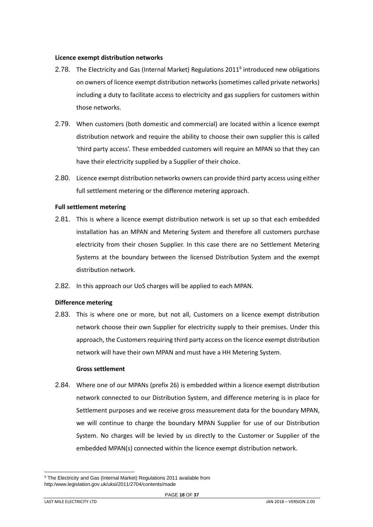#### <span id="page-17-0"></span>**Licence exempt distribution networks**

- 2.78. The Electricity and Gas (Internal Market) Regulations 2011<sup>9</sup> introduced new obligations on owners of licence exempt distribution networks (sometimes called private networks) including a duty to facilitate access to electricity and gas suppliers for customers within those networks.
- 2.79. When customers (both domestic and commercial) are located within a licence exempt distribution network and require the ability to choose their own supplier this is called 'third party access'. These embedded customers will require an MPAN so that they can have their electricity supplied by a Supplier of their choice.
- 2.80. Licence exempt distribution networks owners can provide third party access using either full settlement metering or the difference metering approach.

## **Full settlement metering**

- 2.81. This is where a licence exempt distribution network is set up so that each embedded installation has an MPAN and Metering System and therefore all customers purchase electricity from their chosen Supplier. In this case there are no Settlement Metering Systems at the boundary between the licensed Distribution System and the exempt distribution network.
- 2.82. In this approach our UoS charges will be applied to each MPAN.

## **Difference metering**

2.83. This is where one or more, but not all, Customers on a licence exempt distribution network choose their own Supplier for electricity supply to their premises. Under this approach, the Customers requiring third party access on the licence exempt distribution network will have their own MPAN and must have a HH Metering System.

## **Gross settlement**

2.84. Where one of our MPANs (prefix 26) is embedded within a licence exempt distribution network connected to our Distribution System, and difference metering is in place for Settlement purposes and we receive gross measurement data for the boundary MPAN, we will continue to charge the boundary MPAN Supplier for use of our Distribution System. No charges will be levied by us directly to the Customer or Supplier of the embedded MPAN(s) connected within the licence exempt distribution network.

<sup>&</sup>lt;sup>9</sup> The Electricity and Gas (Internal Market) Regulations 2011 available from http:/www.legislation.gov.uk/uksi/2011/2704/contents/made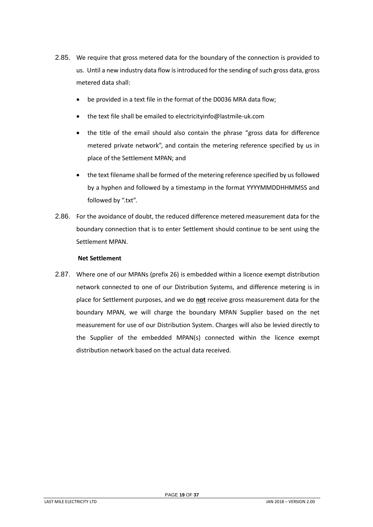- 2.85. We require that gross metered data for the boundary of the connection is provided to us. Until a new industry data flow is introduced for the sending of such gross data, gross metered data shall:
	- be provided in a text file in the format of the D0036 MRA data flow;
	- the text file shall be emailed to electricityinfo@lastmile-uk.com
	- the title of the email should also contain the phrase "gross data for difference metered private network", and contain the metering reference specified by us in place of the Settlement MPAN; and
	- the text filename shall be formed of the metering reference specified by us followed by a hyphen and followed by a timestamp in the format YYYYMMDDHHMMSS and followed by ".txt".
- 2.86. For the avoidance of doubt, the reduced difference metered measurement data for the boundary connection that is to enter Settlement should continue to be sent using the Settlement MPAN.

# **Net Settlement**

2.87. Where one of our MPANs (prefix 26) is embedded within a licence exempt distribution network connected to one of our Distribution Systems, and difference metering is in place for Settlement purposes, and we do **not** receive gross measurement data for the boundary MPAN, we will charge the boundary MPAN Supplier based on the net measurement for use of our Distribution System. Charges will also be levied directly to the Supplier of the embedded MPAN(s) connected within the licence exempt distribution network based on the actual data received.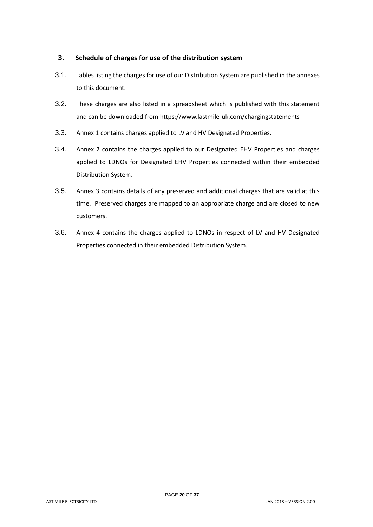# <span id="page-19-0"></span>**3. Schedule of charges for use of the distribution system**

- 3.1. Tables listing the charges for use of our Distribution System are published in the annexes to this document.
- 3.2. These charges are also listed in a spreadsheet which is published with this statement and can be downloaded from https://www.lastmile-uk.com/chargingstatements
- 3.3. Annex 1 contains charges applied to LV and HV Designated Properties.
- 3.4. Annex 2 contains the charges applied to our Designated EHV Properties and charges applied to LDNOs for Designated EHV Properties connected within their embedded Distribution System.
- 3.5. Annex 3 contains details of any preserved and additional charges that are valid at this time. Preserved charges are mapped to an appropriate charge and are closed to new customers.
- 3.6. Annex 4 contains the charges applied to LDNOs in respect of LV and HV Designated Properties connected in their embedded Distribution System.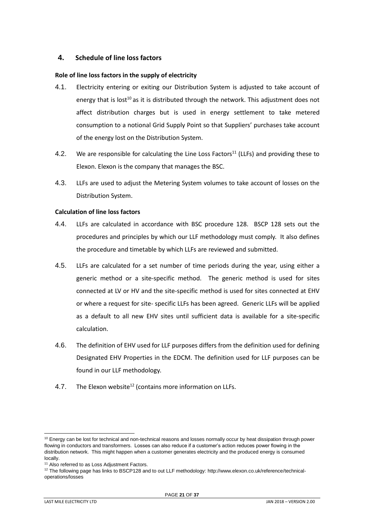# <span id="page-20-0"></span>**4. Schedule of line loss factors**

# <span id="page-20-1"></span>**Role of line loss factors in the supply of electricity**

- 4.1. Electricity entering or exiting our Distribution System is adjusted to take account of energy that is lost<sup>10</sup> as it is distributed through the network. This adjustment does not affect distribution charges but is used in energy settlement to take metered consumption to a notional Grid Supply Point so that Suppliers' purchases take account of the energy lost on the Distribution System.
- 4.2. We are responsible for calculating the Line Loss Factors<sup>11</sup> (LLFs) and providing these to Elexon. Elexon is the company that manages the BSC.
- 4.3. LLFs are used to adjust the Metering System volumes to take account of losses on the Distribution System.

# <span id="page-20-2"></span>**Calculation of line loss factors**

- 4.4. LLFs are calculated in accordance with BSC procedure 128. BSCP 128 sets out the procedures and principles by which our LLF methodology must comply. It also defines the procedure and timetable by which LLFs are reviewed and submitted.
- 4.5. LLFs are calculated for a set number of time periods during the year, using either a generic method or a site-specific method. The generic method is used for sites connected at LV or HV and the site-specific method is used for sites connected at EHV or where a request for site- specific LLFs has been agreed. Generic LLFs will be applied as a default to all new EHV sites until sufficient data is available for a site-specific calculation.
- 4.6. The definition of EHV used for LLF purposes differs from the definition used for defining Designated EHV Properties in the EDCM. The definition used for LLF purposes can be found in our LLF methodology.
- 4.7. The Elexon website<sup>12</sup> (contains more information on LLFs.

 $10$  Energy can be lost for technical and non-technical reasons and losses normally occur by heat dissipation through power flowing in conductors and transformers. Losses can also reduce if a customer's action reduces power flowing in the distribution network. This might happen when a customer generates electricity and the produced energy is consumed locally.

<sup>&</sup>lt;sup>11</sup> Also referred to as Loss Adjustment Factors.

<sup>&</sup>lt;sup>12</sup> The following page has links to BSCP128 and to out LLF methodology: http://www.elexon.co.uk/reference/technicaloperations/losses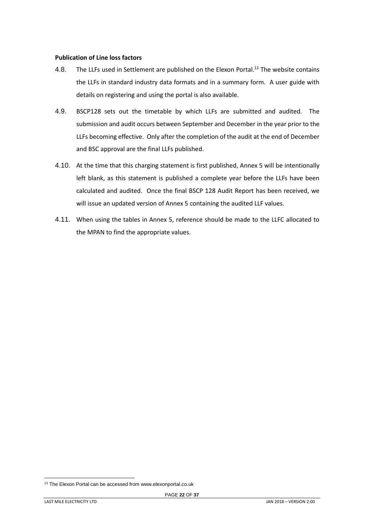#### <span id="page-21-0"></span>**Publication of Line loss factors**

- 4.8. The LLFs used in Settlement are published on the Elexon Portal.<sup>13</sup> The website contains the LLFs in standard industry data formats and in a summary form. A user guide with details on registering and using the portal is also available.
- 4.9. BSCP128 sets out the timetable by which LLFs are submitted and audited. The submission and audit occurs between September and December in the year prior to the LLFs becoming effective. Only after the completion of the audit at the end of December and BSC approval are the final LLFs published.
- 4.10. At the time that this charging statement is first published, Annex 5 will be intentionally left blank, as this statement is published a complete year before the LLFs have been calculated and audited. Once the final BSCP 128 Audit Report has been received, we will issue an updated version of Annex 5 containing the audited LLF values.
- 4.11. When using the tables in Annex 5, reference should be made to the LLFC allocated to the MPAN to find the appropriate values.

<sup>&</sup>lt;sup>13</sup> The Elexon Portal can be accessed from www.elexonportal.co.uk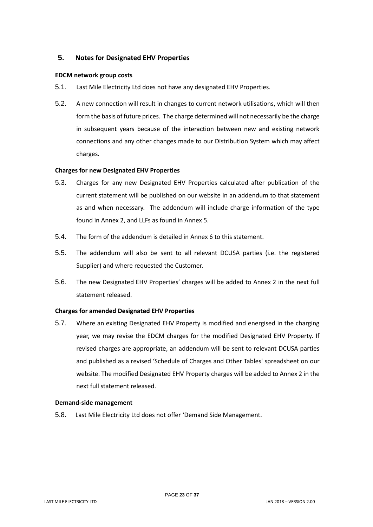# <span id="page-22-0"></span>**5. Notes for Designated EHV Properties**

#### <span id="page-22-1"></span>**EDCM network group costs**

- 5.1. Last Mile Electricity Ltd does not have any designated EHV Properties.
- 5.2. A new connection will result in changes to current network utilisations, which will then form the basis of future prices. The charge determined will not necessarily be the charge in subsequent years because of the interaction between new and existing network connections and any other changes made to our Distribution System which may affect charges.

#### <span id="page-22-2"></span>**Charges for new Designated EHV Properties**

- 5.3. Charges for any new Designated EHV Properties calculated after publication of the current statement will be published on our website in an addendum to that statement as and when necessary. The addendum will include charge information of the type found in Annex 2, and LLFs as found in Annex 5.
- 5.4. The form of the addendum is detailed in Annex 6 to this statement.
- 5.5. The addendum will also be sent to all relevant DCUSA parties (i.e. the registered Supplier) and where requested the Customer.
- 5.6. The new Designated EHV Properties' charges will be added to Annex 2 in the next full statement released.

## <span id="page-22-3"></span>**Charges for amended Designated EHV Properties**

5.7. Where an existing Designated EHV Property is modified and energised in the charging year, we may revise the EDCM charges for the modified Designated EHV Property. If revised charges are appropriate, an addendum will be sent to relevant DCUSA parties and published as a revised 'Schedule of Charges and Other Tables' spreadsheet on our website. The modified Designated EHV Property charges will be added to Annex 2 in the next full statement released.

#### <span id="page-22-4"></span>**Demand-side management**

5.8. Last Mile Electricity Ltd does not offer 'Demand Side Management.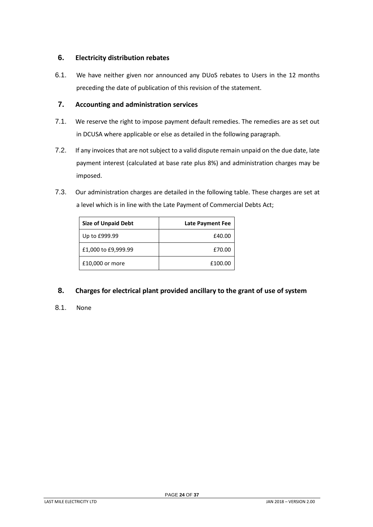# <span id="page-23-0"></span>**6. Electricity distribution rebates**

6.1. We have neither given nor announced any DUoS rebates to Users in the 12 months preceding the date of publication of this revision of the statement.

# <span id="page-23-1"></span>**7. Accounting and administration services**

- 7.1. We reserve the right to impose payment default remedies. The remedies are as set out in DCUSA where applicable or else as detailed in the following paragraph.
- 7.2. If any invoices that are not subject to a valid dispute remain unpaid on the due date, late payment interest (calculated at base rate plus 8%) and administration charges may be imposed.
- 7.3. Our administration charges are detailed in the following table. These charges are set at a level which is in line with the Late Payment of Commercial Debts Act;

| <b>Size of Unpaid Debt</b> | <b>Late Payment Fee</b> |
|----------------------------|-------------------------|
| Up to £999.99              | £40.00                  |
| £1,000 to £9,999.99        | £70.00                  |
| £10,000 or more            | £100.00                 |

# <span id="page-23-2"></span>**8. Charges for electrical plant provided ancillary to the grant of use of system**

8.1. None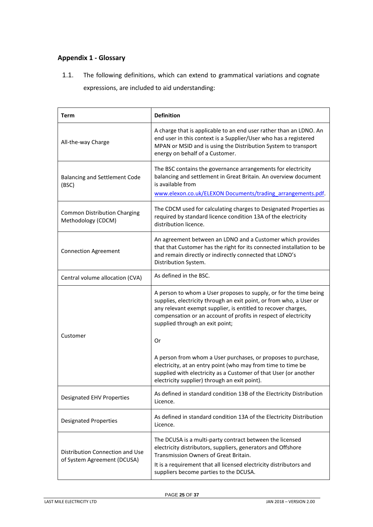# <span id="page-24-0"></span>**Appendix 1 - Glossary**

1.1. The following definitions, which can extend to grammatical variations and cognate expressions, are included to aid understanding:

| <b>Term</b>                                                    | <b>Definition</b>                                                                                                                                                                                                                                                                                               |
|----------------------------------------------------------------|-----------------------------------------------------------------------------------------------------------------------------------------------------------------------------------------------------------------------------------------------------------------------------------------------------------------|
| All-the-way Charge                                             | A charge that is applicable to an end user rather than an LDNO. An<br>end user in this context is a Supplier/User who has a registered<br>MPAN or MSID and is using the Distribution System to transport<br>energy on behalf of a Customer.                                                                     |
| <b>Balancing and Settlement Code</b><br>(BSC)                  | The BSC contains the governance arrangements for electricity<br>balancing and settlement in Great Britain. An overview document<br>is available from<br>www.elexon.co.uk/ELEXON Documents/trading arrangements.pdf.                                                                                             |
| <b>Common Distribution Charging</b><br>Methodology (CDCM)      | The CDCM used for calculating charges to Designated Properties as<br>required by standard licence condition 13A of the electricity<br>distribution licence.                                                                                                                                                     |
| <b>Connection Agreement</b>                                    | An agreement between an LDNO and a Customer which provides<br>that that Customer has the right for its connected installation to be<br>and remain directly or indirectly connected that LDNO's<br>Distribution System.                                                                                          |
| Central volume allocation (CVA)                                | As defined in the BSC.                                                                                                                                                                                                                                                                                          |
|                                                                | A person to whom a User proposes to supply, or for the time being<br>supplies, electricity through an exit point, or from who, a User or<br>any relevant exempt supplier, is entitled to recover charges,<br>compensation or an account of profits in respect of electricity<br>supplied through an exit point; |
| Customer                                                       | Or                                                                                                                                                                                                                                                                                                              |
|                                                                | A person from whom a User purchases, or proposes to purchase,<br>electricity, at an entry point (who may from time to time be<br>supplied with electricity as a Customer of that User (or another<br>electricity supplier) through an exit point).                                                              |
| <b>Designated EHV Properties</b>                               | As defined in standard condition 13B of the Electricity Distribution<br>Licence.                                                                                                                                                                                                                                |
| <b>Designated Properties</b>                                   | As defined in standard condition 13A of the Electricity Distribution<br>Licence.                                                                                                                                                                                                                                |
| Distribution Connection and Use<br>of System Agreement (DCUSA) | The DCUSA is a multi-party contract between the licensed<br>electricity distributors, suppliers, generators and Offshore<br>Transmission Owners of Great Britain.<br>It is a requirement that all licensed electricity distributors and<br>suppliers become parties to the DCUSA.                               |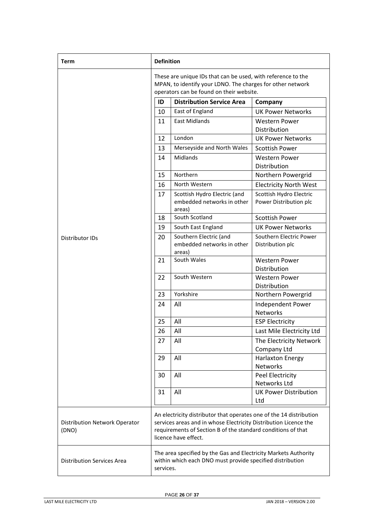| Term                                   | <b>Definition</b>                                                                                                                                                                                                               |                                                                                                                                                                        |                                                   |
|----------------------------------------|---------------------------------------------------------------------------------------------------------------------------------------------------------------------------------------------------------------------------------|------------------------------------------------------------------------------------------------------------------------------------------------------------------------|---------------------------------------------------|
|                                        |                                                                                                                                                                                                                                 | These are unique IDs that can be used, with reference to the<br>MPAN, to identify your LDNO. The charges for other network<br>operators can be found on their website. |                                                   |
|                                        | ID                                                                                                                                                                                                                              | <b>Distribution Service Area</b>                                                                                                                                       | Company                                           |
|                                        | 10                                                                                                                                                                                                                              | East of England                                                                                                                                                        | <b>UK Power Networks</b>                          |
|                                        | 11                                                                                                                                                                                                                              | <b>East Midlands</b>                                                                                                                                                   | <b>Western Power</b><br>Distribution              |
|                                        | 12                                                                                                                                                                                                                              | London                                                                                                                                                                 | <b>UK Power Networks</b>                          |
|                                        | 13                                                                                                                                                                                                                              | Merseyside and North Wales                                                                                                                                             | <b>Scottish Power</b>                             |
|                                        | 14                                                                                                                                                                                                                              | Midlands                                                                                                                                                               | <b>Western Power</b><br>Distribution              |
|                                        | 15                                                                                                                                                                                                                              | Northern                                                                                                                                                               | Northern Powergrid                                |
|                                        | 16                                                                                                                                                                                                                              | North Western                                                                                                                                                          | <b>Electricity North West</b>                     |
|                                        | 17                                                                                                                                                                                                                              | Scottish Hydro Electric (and<br>embedded networks in other<br>areas)                                                                                                   | Scottish Hydro Electric<br>Power Distribution plc |
|                                        | 18                                                                                                                                                                                                                              | South Scotland                                                                                                                                                         | <b>Scottish Power</b>                             |
|                                        | 19                                                                                                                                                                                                                              | South East England                                                                                                                                                     | <b>UK Power Networks</b>                          |
| <b>Distributor IDs</b>                 | 20                                                                                                                                                                                                                              | Southern Electric (and<br>embedded networks in other<br>areas)                                                                                                         | Southern Electric Power<br>Distribution plc       |
|                                        | 21                                                                                                                                                                                                                              | South Wales                                                                                                                                                            | <b>Western Power</b><br>Distribution              |
|                                        | 22                                                                                                                                                                                                                              | South Western                                                                                                                                                          | <b>Western Power</b><br>Distribution              |
|                                        | 23                                                                                                                                                                                                                              | Yorkshire                                                                                                                                                              | Northern Powergrid                                |
|                                        | 24                                                                                                                                                                                                                              | All                                                                                                                                                                    | Independent Power<br><b>Networks</b>              |
|                                        | 25                                                                                                                                                                                                                              | All                                                                                                                                                                    | <b>ESP Electricity</b>                            |
|                                        | 26                                                                                                                                                                                                                              | All                                                                                                                                                                    | Last Mile Electricity Ltd                         |
|                                        | 27                                                                                                                                                                                                                              | All                                                                                                                                                                    | The Electricity Network<br>Company Ltd            |
|                                        | 29                                                                                                                                                                                                                              | All                                                                                                                                                                    | <b>Harlaxton Energy</b><br><b>Networks</b>        |
|                                        | 30                                                                                                                                                                                                                              | All                                                                                                                                                                    | Peel Electricity<br>Networks Ltd                  |
|                                        | 31                                                                                                                                                                                                                              | All                                                                                                                                                                    | <b>UK Power Distribution</b><br>Ltd               |
| Distribution Network Operator<br>(DNO) | An electricity distributor that operates one of the 14 distribution<br>services areas and in whose Electricity Distribution Licence the<br>requirements of Section B of the standard conditions of that<br>licence have effect. |                                                                                                                                                                        |                                                   |
| <b>Distribution Services Area</b>      | The area specified by the Gas and Electricity Markets Authority<br>within which each DNO must provide specified distribution<br>services.                                                                                       |                                                                                                                                                                        |                                                   |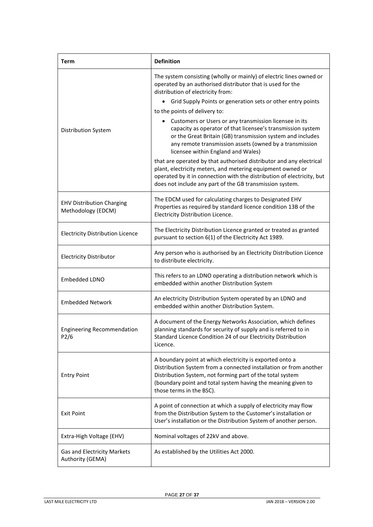| <b>Term</b>                                            | <b>Definition</b>                                                                                                                                                                                                                                                                      |
|--------------------------------------------------------|----------------------------------------------------------------------------------------------------------------------------------------------------------------------------------------------------------------------------------------------------------------------------------------|
|                                                        | The system consisting (wholly or mainly) of electric lines owned or<br>operated by an authorised distributor that is used for the<br>distribution of electricity from:                                                                                                                 |
|                                                        | Grid Supply Points or generation sets or other entry points<br>٠                                                                                                                                                                                                                       |
|                                                        | to the points of delivery to:                                                                                                                                                                                                                                                          |
| Distribution System                                    | Customers or Users or any transmission licensee in its<br>capacity as operator of that licensee's transmission system<br>or the Great Britain (GB) transmission system and includes<br>any remote transmission assets (owned by a transmission<br>licensee within England and Wales)   |
|                                                        | that are operated by that authorised distributor and any electrical<br>plant, electricity meters, and metering equipment owned or<br>operated by it in connection with the distribution of electricity, but<br>does not include any part of the GB transmission system.                |
| <b>EHV Distribution Charging</b><br>Methodology (EDCM) | The EDCM used for calculating charges to Designated EHV<br>Properties as required by standard licence condition 13B of the<br>Electricity Distribution Licence.                                                                                                                        |
| <b>Electricity Distribution Licence</b>                | The Electricity Distribution Licence granted or treated as granted<br>pursuant to section 6(1) of the Electricity Act 1989.                                                                                                                                                            |
| <b>Electricity Distributor</b>                         | Any person who is authorised by an Electricity Distribution Licence<br>to distribute electricity.                                                                                                                                                                                      |
| Embedded LDNO                                          | This refers to an LDNO operating a distribution network which is<br>embedded within another Distribution System                                                                                                                                                                        |
| <b>Embedded Network</b>                                | An electricity Distribution System operated by an LDNO and<br>embedded within another Distribution System.                                                                                                                                                                             |
| <b>Engineering Recommendation</b><br>P2/6              | A document of the Energy Networks Association, which defines<br>planning standards for security of supply and is referred to in<br>Standard Licence Condition 24 of our Electricity Distribution<br>Licence.                                                                           |
| <b>Entry Point</b>                                     | A boundary point at which electricity is exported onto a<br>Distribution System from a connected installation or from another<br>Distribution System, not forming part of the total system<br>(boundary point and total system having the meaning given to<br>those terms in the BSC). |
| <b>Exit Point</b>                                      | A point of connection at which a supply of electricity may flow<br>from the Distribution System to the Customer's installation or<br>User's installation or the Distribution System of another person.                                                                                 |
| Extra-High Voltage (EHV)                               | Nominal voltages of 22kV and above.                                                                                                                                                                                                                                                    |
| Gas and Electricity Markets<br>Authority (GEMA)        | As established by the Utilities Act 2000.                                                                                                                                                                                                                                              |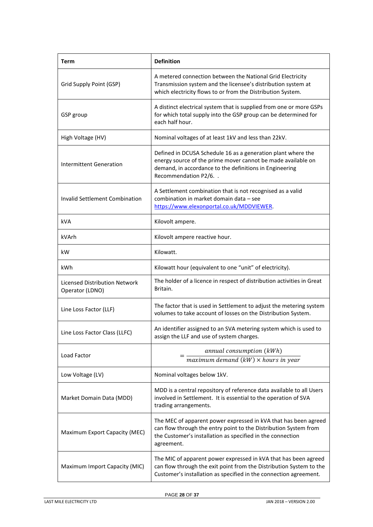| <b>Term</b>                                             | <b>Definition</b>                                                                                                                                                                                                 |
|---------------------------------------------------------|-------------------------------------------------------------------------------------------------------------------------------------------------------------------------------------------------------------------|
| Grid Supply Point (GSP)                                 | A metered connection between the National Grid Electricity<br>Transmission system and the licensee's distribution system at<br>which electricity flows to or from the Distribution System.                        |
| GSP group                                               | A distinct electrical system that is supplied from one or more GSPs<br>for which total supply into the GSP group can be determined for<br>each half hour.                                                         |
| High Voltage (HV)                                       | Nominal voltages of at least 1kV and less than 22kV.                                                                                                                                                              |
| Intermittent Generation                                 | Defined in DCUSA Schedule 16 as a generation plant where the<br>energy source of the prime mover cannot be made available on<br>demand, in accordance to the definitions in Engineering<br>Recommendation P2/6. . |
| <b>Invalid Settlement Combination</b>                   | A Settlement combination that is not recognised as a valid<br>combination in market domain data - see<br>https://www.elexonportal.co.uk/MDDVIEWER.                                                                |
| kVA                                                     | Kilovolt ampere.                                                                                                                                                                                                  |
| kVArh                                                   | Kilovolt ampere reactive hour.                                                                                                                                                                                    |
| kW                                                      | Kilowatt.                                                                                                                                                                                                         |
| kWh                                                     | Kilowatt hour (equivalent to one "unit" of electricity).                                                                                                                                                          |
| <b>Licensed Distribution Network</b><br>Operator (LDNO) | The holder of a licence in respect of distribution activities in Great<br>Britain.                                                                                                                                |
| Line Loss Factor (LLF)                                  | The factor that is used in Settlement to adjust the metering system<br>volumes to take account of losses on the Distribution System.                                                                              |
| Line Loss Factor Class (LLFC)                           | An identifier assigned to an SVA metering system which is used to<br>assign the LLF and use of system charges.                                                                                                    |
| Load Factor                                             | annual consumption (kWh)<br>$maximum demand (kW) \times hours in year$                                                                                                                                            |
| Low Voltage (LV)                                        | Nominal voltages below 1kV.                                                                                                                                                                                       |
| Market Domain Data (MDD)                                | MDD is a central repository of reference data available to all Users<br>involved in Settlement. It is essential to the operation of SVA<br>trading arrangements.                                                  |
| Maximum Export Capacity (MEC)                           | The MEC of apparent power expressed in kVA that has been agreed<br>can flow through the entry point to the Distribution System from<br>the Customer's installation as specified in the connection<br>agreement.   |
| Maximum Import Capacity (MIC)                           | The MIC of apparent power expressed in kVA that has been agreed<br>can flow through the exit point from the Distribution System to the<br>Customer's installation as specified in the connection agreement.       |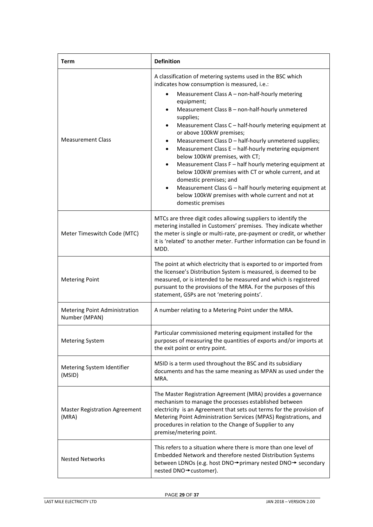| <b>Term</b>                                    | <b>Definition</b>                                                                                                                                                                                                                                                                                                                                                                                                                                                                                                                                                                                                                                                                                                                                                                                                    |
|------------------------------------------------|----------------------------------------------------------------------------------------------------------------------------------------------------------------------------------------------------------------------------------------------------------------------------------------------------------------------------------------------------------------------------------------------------------------------------------------------------------------------------------------------------------------------------------------------------------------------------------------------------------------------------------------------------------------------------------------------------------------------------------------------------------------------------------------------------------------------|
| <b>Measurement Class</b>                       | A classification of metering systems used in the BSC which<br>indicates how consumption is measured, i.e.:<br>Measurement Class A - non-half-hourly metering<br>equipment;<br>Measurement Class B - non-half-hourly unmetered<br>$\bullet$<br>supplies;<br>Measurement Class C - half-hourly metering equipment at<br>$\bullet$<br>or above 100kW premises;<br>Measurement Class D - half-hourly unmetered supplies;<br>٠<br>Measurement Class E - half-hourly metering equipment<br>$\bullet$<br>below 100kW premises, with CT;<br>Measurement Class F - half hourly metering equipment at<br>below 100kW premises with CT or whole current, and at<br>domestic premises; and<br>Measurement Class G - half hourly metering equipment at<br>below 100kW premises with whole current and not at<br>domestic premises |
| Meter Timeswitch Code (MTC)                    | MTCs are three digit codes allowing suppliers to identify the<br>metering installed in Customers' premises. They indicate whether<br>the meter is single or multi-rate, pre-payment or credit, or whether<br>it is 'related' to another meter. Further information can be found in<br>MDD.                                                                                                                                                                                                                                                                                                                                                                                                                                                                                                                           |
| <b>Metering Point</b>                          | The point at which electricity that is exported to or imported from<br>the licensee's Distribution System is measured, is deemed to be<br>measured, or is intended to be measured and which is registered<br>pursuant to the provisions of the MRA. For the purposes of this<br>statement, GSPs are not 'metering points'.                                                                                                                                                                                                                                                                                                                                                                                                                                                                                           |
| Metering Point Administration<br>Number (MPAN) | A number relating to a Metering Point under the MRA.                                                                                                                                                                                                                                                                                                                                                                                                                                                                                                                                                                                                                                                                                                                                                                 |
| <b>Metering System</b>                         | Particular commissioned metering equipment installed for the<br>purposes of measuring the quantities of exports and/or imports at<br>the exit point or entry point.                                                                                                                                                                                                                                                                                                                                                                                                                                                                                                                                                                                                                                                  |
| Metering System Identifier<br>(MSID)           | MSID is a term used throughout the BSC and its subsidiary<br>documents and has the same meaning as MPAN as used under the<br>MRA.                                                                                                                                                                                                                                                                                                                                                                                                                                                                                                                                                                                                                                                                                    |
| <b>Master Registration Agreement</b><br>(MRA)  | The Master Registration Agreement (MRA) provides a governance<br>mechanism to manage the processes established between<br>electricity is an Agreement that sets out terms for the provision of<br>Metering Point Administration Services (MPAS) Registrations, and<br>procedures in relation to the Change of Supplier to any<br>premise/metering point.                                                                                                                                                                                                                                                                                                                                                                                                                                                             |
| <b>Nested Networks</b>                         | This refers to a situation where there is more than one level of<br>Embedded Network and therefore nested Distribution Systems<br>between LDNOs (e.g. host DNO→primary nested DNO→ secondary<br>nested DNO→customer).                                                                                                                                                                                                                                                                                                                                                                                                                                                                                                                                                                                                |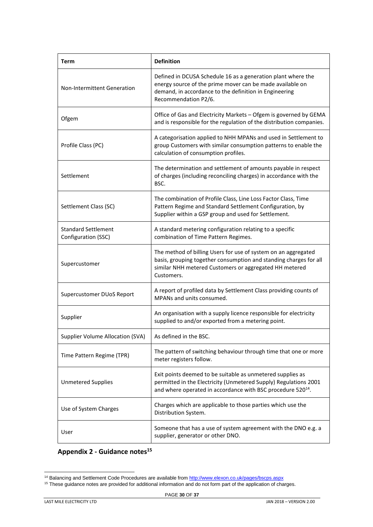| <b>Term</b>                                       | <b>Definition</b>                                                                                                                                                                                           |
|---------------------------------------------------|-------------------------------------------------------------------------------------------------------------------------------------------------------------------------------------------------------------|
| <b>Non-Intermittent Generation</b>                | Defined in DCUSA Schedule 16 as a generation plant where the<br>energy source of the prime mover can be made available on<br>demand, in accordance to the definition in Engineering<br>Recommendation P2/6. |
| Ofgem                                             | Office of Gas and Electricity Markets - Ofgem is governed by GEMA<br>and is responsible for the regulation of the distribution companies.                                                                   |
| Profile Class (PC)                                | A categorisation applied to NHH MPANs and used in Settlement to<br>group Customers with similar consumption patterns to enable the<br>calculation of consumption profiles.                                  |
| Settlement                                        | The determination and settlement of amounts payable in respect<br>of charges (including reconciling charges) in accordance with the<br>BSC.                                                                 |
| Settlement Class (SC)                             | The combination of Profile Class, Line Loss Factor Class, Time<br>Pattern Regime and Standard Settlement Configuration, by<br>Supplier within a GSP group and used for Settlement.                          |
| <b>Standard Settlement</b><br>Configuration (SSC) | A standard metering configuration relating to a specific<br>combination of Time Pattern Regimes.                                                                                                            |
| Supercustomer                                     | The method of billing Users for use of system on an aggregated<br>basis, grouping together consumption and standing charges for all<br>similar NHH metered Customers or aggregated HH metered<br>Customers. |
| <b>Supercustomer DUoS Report</b>                  | A report of profiled data by Settlement Class providing counts of<br>MPANs and units consumed.                                                                                                              |
| Supplier                                          | An organisation with a supply licence responsible for electricity<br>supplied to and/or exported from a metering point.                                                                                     |
| Supplier Volume Allocation (SVA)                  | As defined in the BSC.                                                                                                                                                                                      |
| Time Pattern Regime (TPR)                         | The pattern of switching behaviour through time that one or more<br>meter registers follow.                                                                                                                 |
| <b>Unmetered Supplies</b>                         | Exit points deemed to be suitable as unmetered supplies as<br>permitted in the Electricity (Unmetered Supply) Regulations 2001<br>and where operated in accordance with BSC procedure 520 <sup>14</sup> .   |
| Use of System Charges                             | Charges which are applicable to those parties which use the<br>Distribution System.                                                                                                                         |
| User                                              | Someone that has a use of system agreement with the DNO e.g. a<br>supplier, generator or other DNO.                                                                                                         |

<span id="page-29-0"></span>**Appendix 2 - Guidance notes<sup>15</sup>**

<sup>&</sup>lt;sup>14</sup> Balancing and Settlement Code Procedures are available fro[m http://www.elexon.co.uk/pages/bscps.aspx](http://www.elexon.co.uk/pages/bscps.aspx)

<sup>&</sup>lt;sup>15</sup> These guidance notes are provided for additional information and do not form part of the application of charges.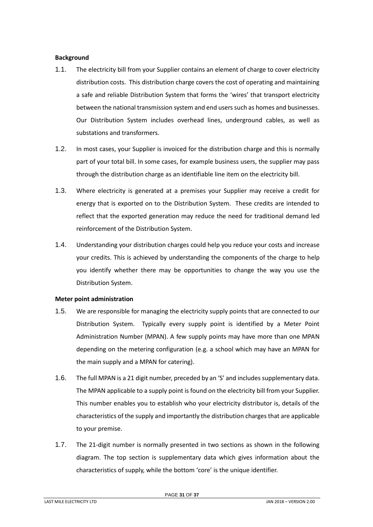## <span id="page-30-0"></span>**Background**

- 1.1. The electricity bill from your Supplier contains an element of charge to cover electricity distribution costs. This distribution charge covers the cost of operating and maintaining a safe and reliable Distribution System that forms the 'wires' that transport electricity between the national transmission system and end users such as homes and businesses. Our Distribution System includes overhead lines, underground cables, as well as substations and transformers.
- 1.2. In most cases, your Supplier is invoiced for the distribution charge and this is normally part of your total bill. In some cases, for example business users, the supplier may pass through the distribution charge as an identifiable line item on the electricity bill.
- 1.3. Where electricity is generated at a premises your Supplier may receive a credit for energy that is exported on to the Distribution System. These credits are intended to reflect that the exported generation may reduce the need for traditional demand led reinforcement of the Distribution System.
- 1.4. Understanding your distribution charges could help you reduce your costs and increase your credits. This is achieved by understanding the components of the charge to help you identify whether there may be opportunities to change the way you use the Distribution System.

## <span id="page-30-1"></span>**Meter point administration**

- 1.5. We are responsible for managing the electricity supply points that are connected to our Distribution System. Typically every supply point is identified by a Meter Point Administration Number (MPAN). A few supply points may have more than one MPAN depending on the metering configuration (e.g. a school which may have an MPAN for the main supply and a MPAN for catering).
- 1.6. The full MPAN is a 21 digit number, preceded by an 'S' and includes supplementary data. The MPAN applicable to a supply point is found on the electricity bill from your Supplier. This number enables you to establish who your electricity distributor is, details of the characteristics of the supply and importantly the distribution charges that are applicable to your premise.
- 1.7. The 21-digit number is normally presented in two sections as shown in the following diagram. The top section is supplementary data which gives information about the characteristics of supply, while the bottom 'core' is the unique identifier.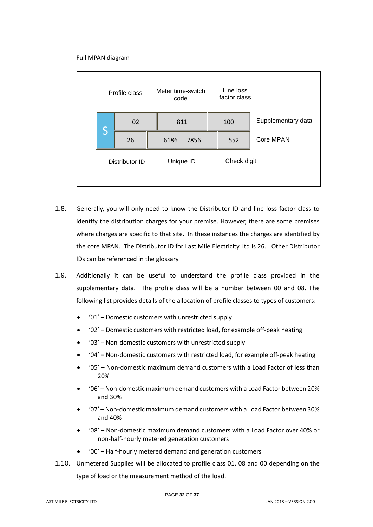## Full MPAN diagram



- 1.8. Generally, you will only need to know the Distributor ID and line loss factor class to identify the distribution charges for your premise. However, there are some premises where charges are specific to that site. In these instances the charges are identified by the core MPAN. The Distributor ID for Last Mile Electricity Ltd is 26.. Other Distributor IDs can be referenced in the glossary.
- 1.9. Additionally it can be useful to understand the profile class provided in the supplementary data. The profile class will be a number between 00 and 08. The following list provides details of the allocation of profile classes to types of customers:
	- '01' Domestic customers with unrestricted supply
	- '02' Domestic customers with restricted load, for example off-peak heating
	- '03' Non-domestic customers with unrestricted supply
	- '04' Non-domestic customers with restricted load, for example off-peak heating
	- '05' Non-domestic maximum demand customers with a Load Factor of less than 20%
	- '06' Non-domestic maximum demand customers with a Load Factor between 20% and 30%
	- '07' Non-domestic maximum demand customers with a Load Factor between 30% and 40%
	- '08' Non-domestic maximum demand customers with a Load Factor over 40% or non-half-hourly metered generation customers
	- '00' Half-hourly metered demand and generation customers
- 1.10. Unmetered Supplies will be allocated to profile class 01, 08 and 00 depending on the type of load or the measurement method of the load.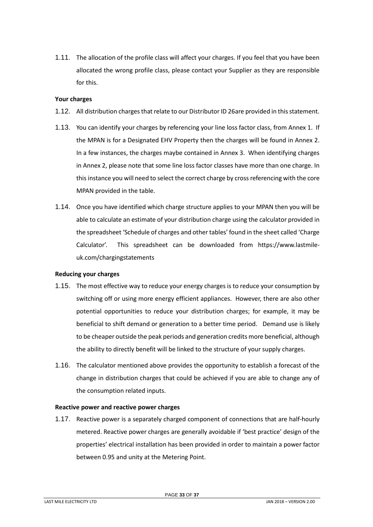1.11. The allocation of the profile class will affect your charges. If you feel that you have been allocated the wrong profile class, please contact your Supplier as they are responsible for this.

#### <span id="page-32-0"></span>**Your charges**

- 1.12. All distribution charges that relate to our Distributor ID 26are provided in this statement.
- 1.13. You can identify your charges by referencing your line loss factor class, from Annex 1. If the MPAN is for a Designated EHV Property then the charges will be found in Annex 2. In a few instances, the charges maybe contained in Annex 3. When identifying charges in Annex 2, please note that some line loss factor classes have more than one charge. In this instance you will need to select the correct charge by cross referencing with the core MPAN provided in the table.
- 1.14. Once you have identified which charge structure applies to your MPAN then you will be able to calculate an estimate of your distribution charge using the calculator provided in the spreadsheet 'Schedule of charges and other tables' found in the sheet called 'Charge Calculator'. This spreadsheet can be downloaded from https://www.lastmileuk.com/chargingstatements

## <span id="page-32-1"></span>**Reducing your charges**

- 1.15. The most effective way to reduce your energy charges is to reduce your consumption by switching off or using more energy efficient appliances. However, there are also other potential opportunities to reduce your distribution charges; for example, it may be beneficial to shift demand or generation to a better time period. Demand use is likely to be cheaper outside the peak periods and generation credits more beneficial, although the ability to directly benefit will be linked to the structure of your supply charges.
- 1.16. The calculator mentioned above provides the opportunity to establish a forecast of the change in distribution charges that could be achieved if you are able to change any of the consumption related inputs.

## <span id="page-32-2"></span>**Reactive power and reactive power charges**

1.17. Reactive power is a separately charged component of connections that are half-hourly metered. Reactive power charges are generally avoidable if 'best practice' design of the properties' electrical installation has been provided in order to maintain a power factor between 0.95 and unity at the Metering Point.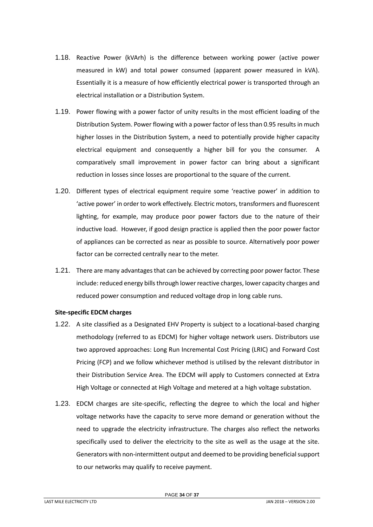- 1.18. Reactive Power (kVArh) is the difference between working power (active power measured in kW) and total power consumed (apparent power measured in kVA). Essentially it is a measure of how efficiently electrical power is transported through an electrical installation or a Distribution System.
- 1.19. Power flowing with a power factor of unity results in the most efficient loading of the Distribution System. Power flowing with a power factor of less than 0.95 results in much higher losses in the Distribution System, a need to potentially provide higher capacity electrical equipment and consequently a higher bill for you the consumer. A comparatively small improvement in power factor can bring about a significant reduction in losses since losses are proportional to the square of the current.
- 1.20. Different types of electrical equipment require some 'reactive power' in addition to 'active power' in order to work effectively. Electric motors, transformers and fluorescent lighting, for example, may produce poor power factors due to the nature of their inductive load. However, if good design practice is applied then the poor power factor of appliances can be corrected as near as possible to source. Alternatively poor power factor can be corrected centrally near to the meter.
- 1.21. There are many advantages that can be achieved by correcting poor power factor. These include: reduced energy bills through lower reactive charges, lower capacity charges and reduced power consumption and reduced voltage drop in long cable runs.

## <span id="page-33-0"></span>**Site-specific EDCM charges**

- 1.22. A site classified as a Designated EHV Property is subject to a locational-based charging methodology (referred to as EDCM) for higher voltage network users. Distributors use two approved approaches: Long Run Incremental Cost Pricing (LRIC) and Forward Cost Pricing (FCP) and we follow whichever method is utilised by the relevant distributor in their Distribution Service Area. The EDCM will apply to Customers connected at Extra High Voltage or connected at High Voltage and metered at a high voltage substation.
- 1.23. EDCM charges are site-specific, reflecting the degree to which the local and higher voltage networks have the capacity to serve more demand or generation without the need to upgrade the electricity infrastructure. The charges also reflect the networks specifically used to deliver the electricity to the site as well as the usage at the site. Generators with non-intermittent output and deemed to be providing beneficial support to our networks may qualify to receive payment.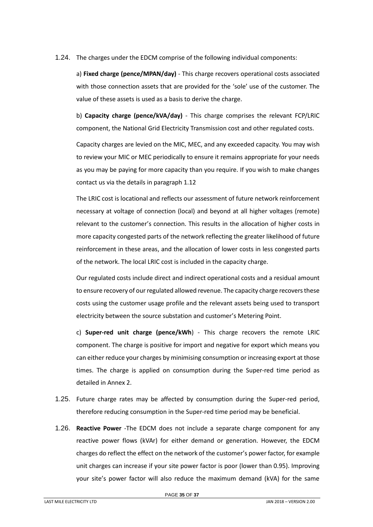# 1.24. The charges under the EDCM comprise of the following individual components:

a) **Fixed charge (pence/MPAN/day)** - This charge recovers operational costs associated with those connection assets that are provided for the 'sole' use of the customer. The value of these assets is used as a basis to derive the charge.

b) **Capacity charge (pence/kVA/day)** - This charge comprises the relevant FCP/LRIC component, the National Grid Electricity Transmission cost and other regulated costs.

Capacity charges are levied on the MIC, MEC, and any exceeded capacity. You may wish to review your MIC or MEC periodically to ensure it remains appropriate for your needs as you may be paying for more capacity than you require. If you wish to make changes contact us via the details in paragraph [1.12](#page-4-2)

The LRIC cost is locational and reflects our assessment of future network reinforcement necessary at voltage of connection (local) and beyond at all higher voltages (remote) relevant to the customer's connection. This results in the allocation of higher costs in more capacity congested parts of the network reflecting the greater likelihood of future reinforcement in these areas, and the allocation of lower costs in less congested parts of the network. The local LRIC cost is included in the capacity charge.

Our regulated costs include direct and indirect operational costs and a residual amount to ensure recovery of our regulated allowed revenue. The capacity charge recovers these costs using the customer usage profile and the relevant assets being used to transport electricity between the source substation and customer's Metering Point.

c) **Super-red unit charge (pence/kWh**) - This charge recovers the remote LRIC component. The charge is positive for import and negative for export which means you can either reduce your charges by minimising consumption or increasing export at those times. The charge is applied on consumption during the Super-red time period as detailed in Annex 2.

- 1.25. Future charge rates may be affected by consumption during the Super-red period, therefore reducing consumption in the Super-red time period may be beneficial.
- 1.26. **Reactive Power** -The EDCM does not include a separate charge component for any reactive power flows (kVAr) for either demand or generation. However, the EDCM charges do reflect the effect on the network of the customer's power factor, for example unit charges can increase if your site power factor is poor (lower than 0.95). Improving your site's power factor will also reduce the maximum demand (kVA) for the same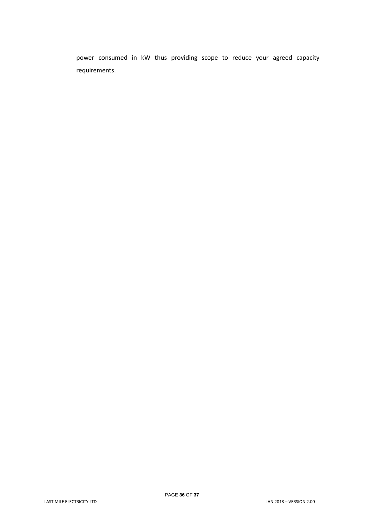power consumed in kW thus providing scope to reduce your agreed capacity requirements.